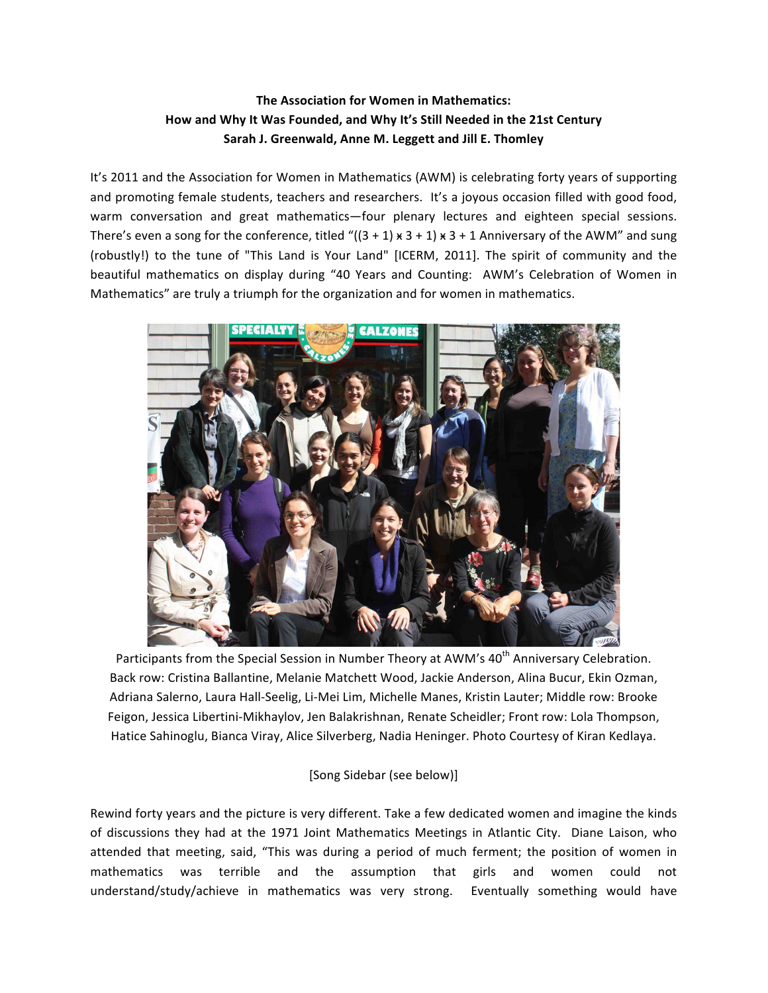# **The Association for Women in Mathematics:** How and Why It Was Founded, and Why It's Still Needed in the 21st Century Sarah J. Greenwald, Anne M. Leggett and Jill E. Thomley

It's 2011 and the Association for Women in Mathematics (AWM) is celebrating forty years of supporting and promoting female students, teachers and researchers. It's a joyous occasion filled with good food, warm conversation and great mathematics—four plenary lectures and eighteen special sessions. There's even a song for the conference, titled " $((3 + 1) \times 3 + 1) \times 3 + 1$  Anniversary of the AWM" and sung (robustly!) to the tune of "This Land is Your Land" [ICERM, 2011]. The spirit of community and the beautiful mathematics on display during "40 Years and Counting: AWM's Celebration of Women in Mathematics" are truly a triumph for the organization and for women in mathematics.



Participants from the Special Session in Number Theory at AWM's 40<sup>th</sup> Anniversary Celebration. Back row: Cristina Ballantine, Melanie Matchett Wood, Jackie Anderson, Alina Bucur, Ekin Ozman, Adriana Salerno, Laura Hall-Seelig, Li-Mei Lim, Michelle Manes, Kristin Lauter; Middle row: Brooke Feigon, Jessica Libertini-Mikhaylov, Jen Balakrishnan, Renate Scheidler; Front row: Lola Thompson, Hatice Sahinoglu, Bianca Viray, Alice Silverberg, Nadia Heninger. Photo Courtesy of Kiran Kedlaya.

[Song Sidebar (see below)]

Rewind forty years and the picture is very different. Take a few dedicated women and imagine the kinds of discussions they had at the 1971 Joint Mathematics Meetings in Atlantic City. Diane Laison, who attended that meeting, said, "This was during a period of much ferment; the position of women in mathematics was terrible and the assumption that girls and women could not understand/study/achieve in mathematics was very strong. Eventually something would have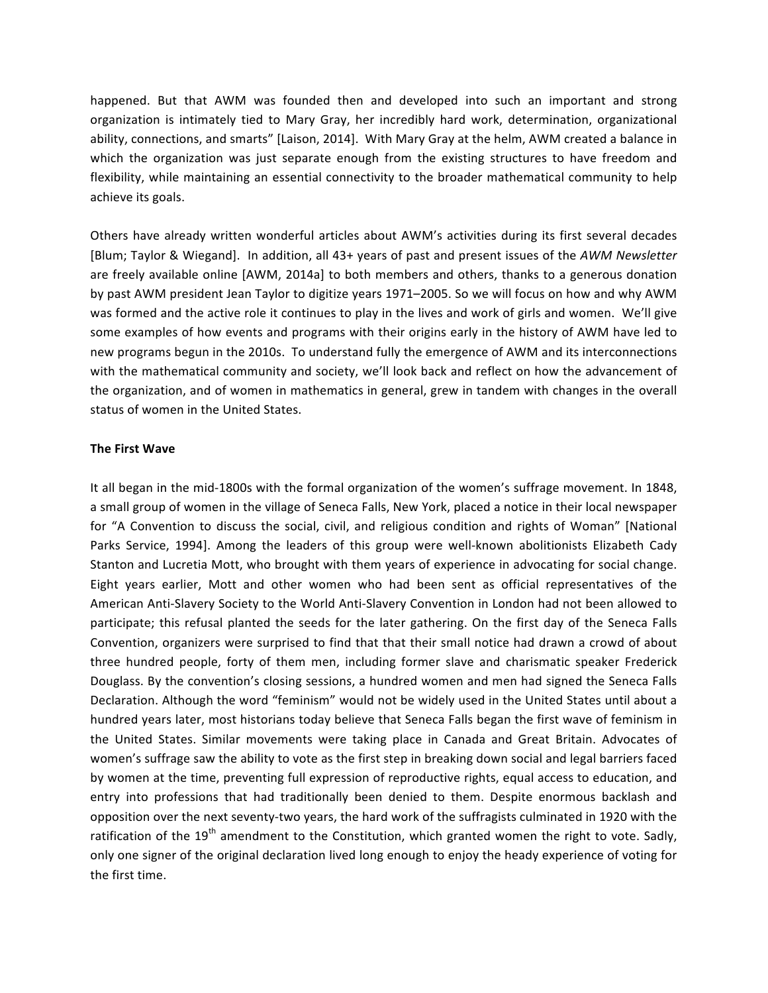happened. But that AWM was founded then and developed into such an important and strong organization is intimately tied to Mary Gray, her incredibly hard work, determination, organizational ability, connections, and smarts" [Laison, 2014]. With Mary Gray at the helm, AWM created a balance in which the organization was just separate enough from the existing structures to have freedom and flexibility, while maintaining an essential connectivity to the broader mathematical community to help achieve its goals.

Others have already written wonderful articles about AWM's activities during its first several decades [Blum; Taylor & Wiegand]. In addition, all 43+ years of past and present issues of the AWM Newsletter are freely available online [AWM, 2014a] to both members and others, thanks to a generous donation by past AWM president Jean Taylor to digitize years 1971–2005. So we will focus on how and why AWM was formed and the active role it continues to play in the lives and work of girls and women. We'll give some examples of how events and programs with their origins early in the history of AWM have led to new programs begun in the 2010s. To understand fully the emergence of AWM and its interconnections with the mathematical community and society, we'll look back and reflect on how the advancement of the organization, and of women in mathematics in general, grew in tandem with changes in the overall status of women in the United States.

### **The First Wave**

It all began in the mid-1800s with the formal organization of the women's suffrage movement. In 1848, a small group of women in the village of Seneca Falls, New York, placed a notice in their local newspaper for "A Convention to discuss the social, civil, and religious condition and rights of Woman" [National Parks Service, 1994]. Among the leaders of this group were well-known abolitionists Elizabeth Cady Stanton and Lucretia Mott, who brought with them years of experience in advocating for social change. Eight years earlier, Mott and other women who had been sent as official representatives of the American Anti-Slavery Society to the World Anti-Slavery Convention in London had not been allowed to participate; this refusal planted the seeds for the later gathering. On the first day of the Seneca Falls Convention, organizers were surprised to find that that their small notice had drawn a crowd of about three hundred people, forty of them men, including former slave and charismatic speaker Frederick Douglass. By the convention's closing sessions, a hundred women and men had signed the Seneca Falls Declaration. Although the word "feminism" would not be widely used in the United States until about a hundred years later, most historians today believe that Seneca Falls began the first wave of feminism in the United States. Similar movements were taking place in Canada and Great Britain. Advocates of women's suffrage saw the ability to vote as the first step in breaking down social and legal barriers faced by women at the time, preventing full expression of reproductive rights, equal access to education, and entry into professions that had traditionally been denied to them. Despite enormous backlash and opposition over the next seventy-two years, the hard work of the suffragists culminated in 1920 with the ratification of the 19<sup>th</sup> amendment to the Constitution, which granted women the right to vote. Sadly, only one signer of the original declaration lived long enough to enjoy the heady experience of voting for the first time.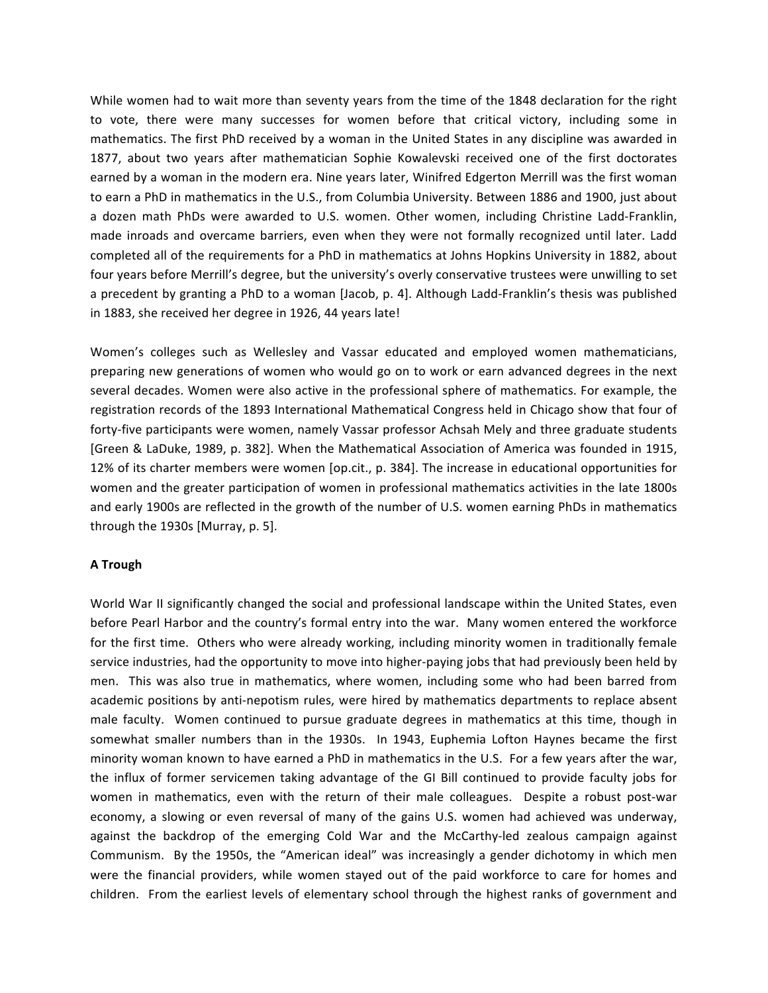While women had to wait more than seventy years from the time of the 1848 declaration for the right to vote, there were many successes for women before that critical victory, including some in mathematics. The first PhD received by a woman in the United States in any discipline was awarded in 1877, about two years after mathematician Sophie Kowalevski received one of the first doctorates earned by a woman in the modern era. Nine years later, Winifred Edgerton Merrill was the first woman to earn a PhD in mathematics in the U.S., from Columbia University. Between 1886 and 1900, just about a dozen math PhDs were awarded to U.S. women. Other women, including Christine Ladd-Franklin, made inroads and overcame barriers, even when they were not formally recognized until later. Ladd completed all of the requirements for a PhD in mathematics at Johns Hopkins University in 1882, about four years before Merrill's degree, but the university's overly conservative trustees were unwilling to set a precedent by granting a PhD to a woman [Jacob, p. 4]. Although Ladd-Franklin's thesis was published in 1883, she received her degree in 1926, 44 years late!

Women's colleges such as Wellesley and Vassar educated and employed women mathematicians, preparing new generations of women who would go on to work or earn advanced degrees in the next several decades. Women were also active in the professional sphere of mathematics. For example, the registration records of the 1893 International Mathematical Congress held in Chicago show that four of forty-five participants were women, namely Vassar professor Achsah Mely and three graduate students [Green & LaDuke, 1989, p. 382]. When the Mathematical Association of America was founded in 1915, 12% of its charter members were women [op.cit., p. 384]. The increase in educational opportunities for women and the greater participation of women in professional mathematics activities in the late 1800s and early 1900s are reflected in the growth of the number of U.S. women earning PhDs in mathematics through the  $1930s$  [Murray, p. 5].

### **A Trough**

World War II significantly changed the social and professional landscape within the United States, even before Pearl Harbor and the country's formal entry into the war. Many women entered the workforce for the first time. Others who were already working, including minority women in traditionally female service industries, had the opportunity to move into higher-paying jobs that had previously been held by men. This was also true in mathematics, where women, including some who had been barred from academic positions by anti-nepotism rules, were hired by mathematics departments to replace absent male faculty. Women continued to pursue graduate degrees in mathematics at this time, though in somewhat smaller numbers than in the 1930s. In 1943, Euphemia Lofton Haynes became the first minority woman known to have earned a PhD in mathematics in the U.S. For a few years after the war, the influx of former servicemen taking advantage of the GI Bill continued to provide faculty jobs for women in mathematics, even with the return of their male colleagues. Despite a robust post-war economy, a slowing or even reversal of many of the gains U.S. women had achieved was underway, against the backdrop of the emerging Cold War and the McCarthy-led zealous campaign against Communism. By the 1950s, the "American ideal" was increasingly a gender dichotomy in which men were the financial providers, while women stayed out of the paid workforce to care for homes and children. From the earliest levels of elementary school through the highest ranks of government and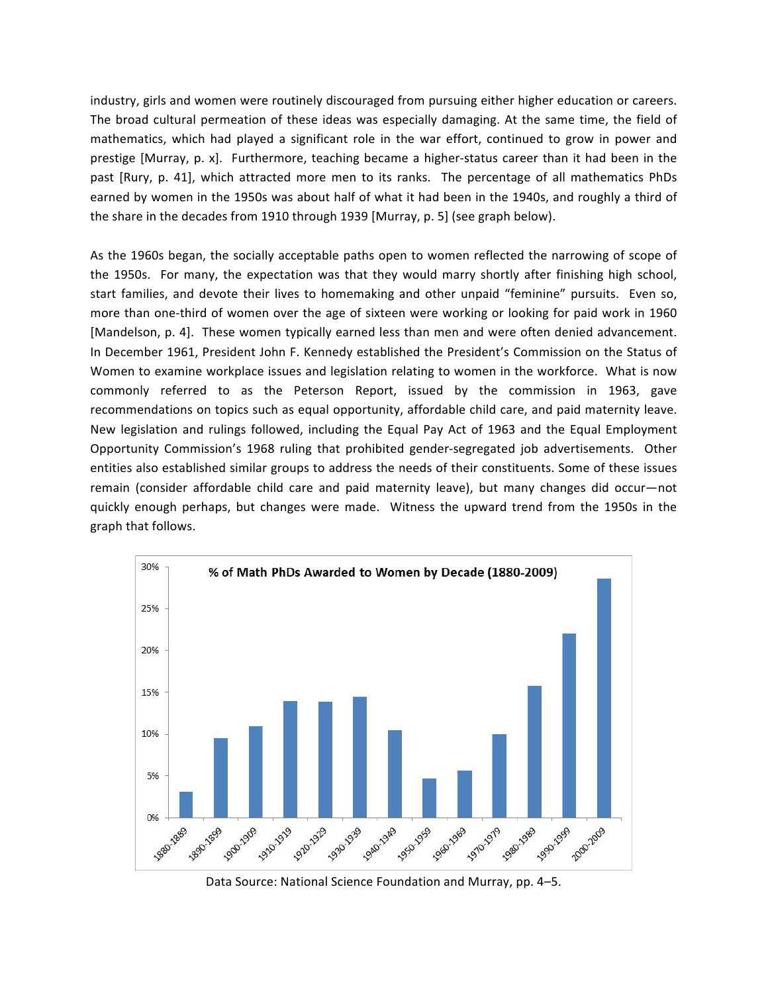industry, girls and women were routinely discouraged from pursuing either higher education or careers. The broad cultural permeation of these ideas was especially damaging. At the same time, the field of mathematics, which had played a significant role in the war effort, continued to grow in power and prestige [Murray, p. x]. Furthermore, teaching became a higher-status career than it had been in the past [Rury, p. 41], which attracted more men to its ranks. The percentage of all mathematics PhDs earned by women in the 1950s was about half of what it had been in the 1940s, and roughly a third of the share in the decades from 1910 through 1939 [Murray, p. 5] (see graph below).

As the 1960s began, the socially acceptable paths open to women reflected the narrowing of scope of the 1950s. For many, the expectation was that they would marry shortly after finishing high school, start families, and devote their lives to homemaking and other unpaid "feminine" pursuits. Even so, more than one-third of women over the age of sixteen were working or looking for paid work in 1960 [Mandelson, p. 4]. These women typically earned less than men and were often denied advancement. In December 1961, President John F. Kennedy established the President's Commission on the Status of Women to examine workplace issues and legislation relating to women in the workforce. What is now commonly referred to as the Peterson Report, issued by the commission in 1963, gave recommendations on topics such as equal opportunity, affordable child care, and paid maternity leave. New legislation and rulings followed, including the Equal Pay Act of 1963 and the Equal Employment Opportunity Commission's 1968 ruling that prohibited gender-segregated job advertisements. Other entities also established similar groups to address the needs of their constituents. Some of these issues remain (consider affordable child care and paid maternity leave), but many changes did occur—not quickly enough perhaps, but changes were made. Witness the upward trend from the 1950s in the graph that follows.



Data Source: National Science Foundation and Murray, pp. 4-5.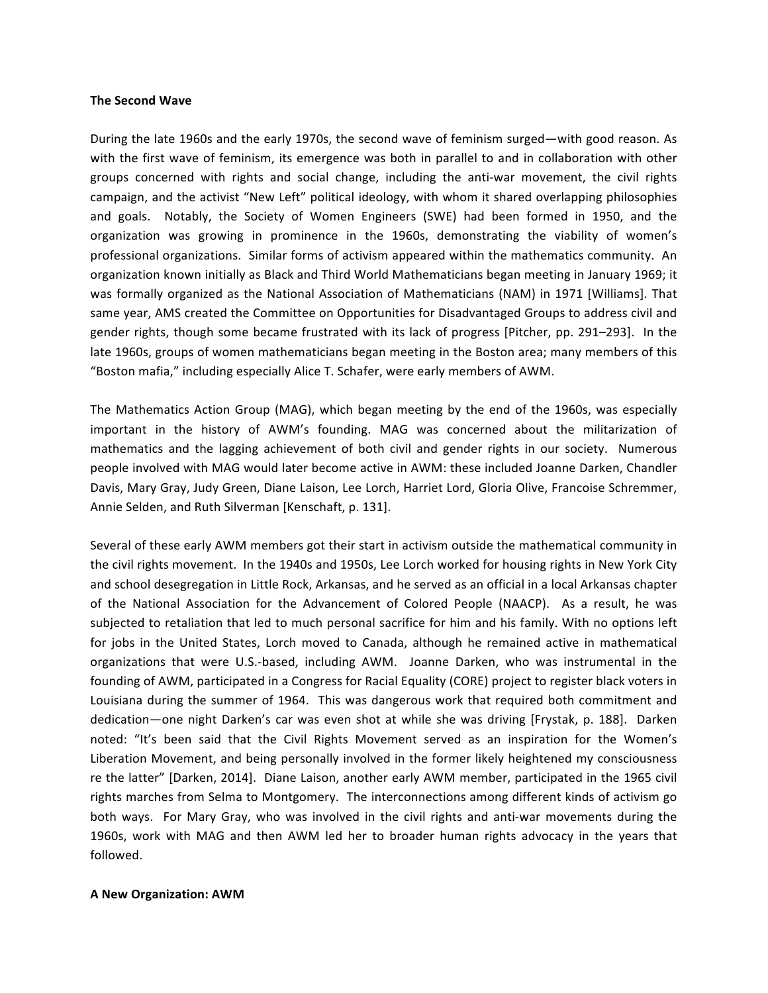#### **The Second Wave**

During the late 1960s and the early 1970s, the second wave of feminism surged—with good reason. As with the first wave of feminism, its emergence was both in parallel to and in collaboration with other groups concerned with rights and social change, including the anti-war movement, the civil rights campaign, and the activist "New Left" political ideology, with whom it shared overlapping philosophies and goals. Notably, the Society of Women Engineers (SWE) had been formed in 1950, and the organization was growing in prominence in the 1960s, demonstrating the viability of women's professional organizations. Similar forms of activism appeared within the mathematics community. An organization known initially as Black and Third World Mathematicians began meeting in January 1969; it was formally organized as the National Association of Mathematicians (NAM) in 1971 [Williams]. That same year, AMS created the Committee on Opportunities for Disadvantaged Groups to address civil and gender rights, though some became frustrated with its lack of progress [Pitcher, pp. 291–293]. In the late 1960s, groups of women mathematicians began meeting in the Boston area; many members of this "Boston mafia," including especially Alice T. Schafer, were early members of AWM.

The Mathematics Action Group (MAG), which began meeting by the end of the 1960s, was especially important in the history of AWM's founding. MAG was concerned about the militarization of mathematics and the lagging achievement of both civil and gender rights in our society. Numerous people involved with MAG would later become active in AWM: these included Joanne Darken, Chandler Davis, Mary Gray, Judy Green, Diane Laison, Lee Lorch, Harriet Lord, Gloria Olive, Francoise Schremmer, Annie Selden, and Ruth Silverman [Kenschaft, p. 131].

Several of these early AWM members got their start in activism outside the mathematical community in the civil rights movement. In the 1940s and 1950s, Lee Lorch worked for housing rights in New York City and school desegregation in Little Rock, Arkansas, and he served as an official in a local Arkansas chapter of the National Association for the Advancement of Colored People (NAACP). As a result, he was subjected to retaliation that led to much personal sacrifice for him and his family. With no options left for jobs in the United States, Lorch moved to Canada, although he remained active in mathematical organizations that were U.S.-based, including AWM. Joanne Darken, who was instrumental in the founding of AWM, participated in a Congress for Racial Equality (CORE) project to register black voters in Louisiana during the summer of 1964. This was dangerous work that required both commitment and dedication—one night Darken's car was even shot at while she was driving [Frystak, p. 188]. Darken noted: "It's been said that the Civil Rights Movement served as an inspiration for the Women's Liberation Movement, and being personally involved in the former likely heightened my consciousness re the latter" [Darken, 2014]. Diane Laison, another early AWM member, participated in the 1965 civil rights marches from Selma to Montgomery. The interconnections among different kinds of activism go both ways. For Mary Gray, who was involved in the civil rights and anti-war movements during the 1960s, work with MAG and then AWM led her to broader human rights advocacy in the years that followed. 

#### **A New Organization: AWM**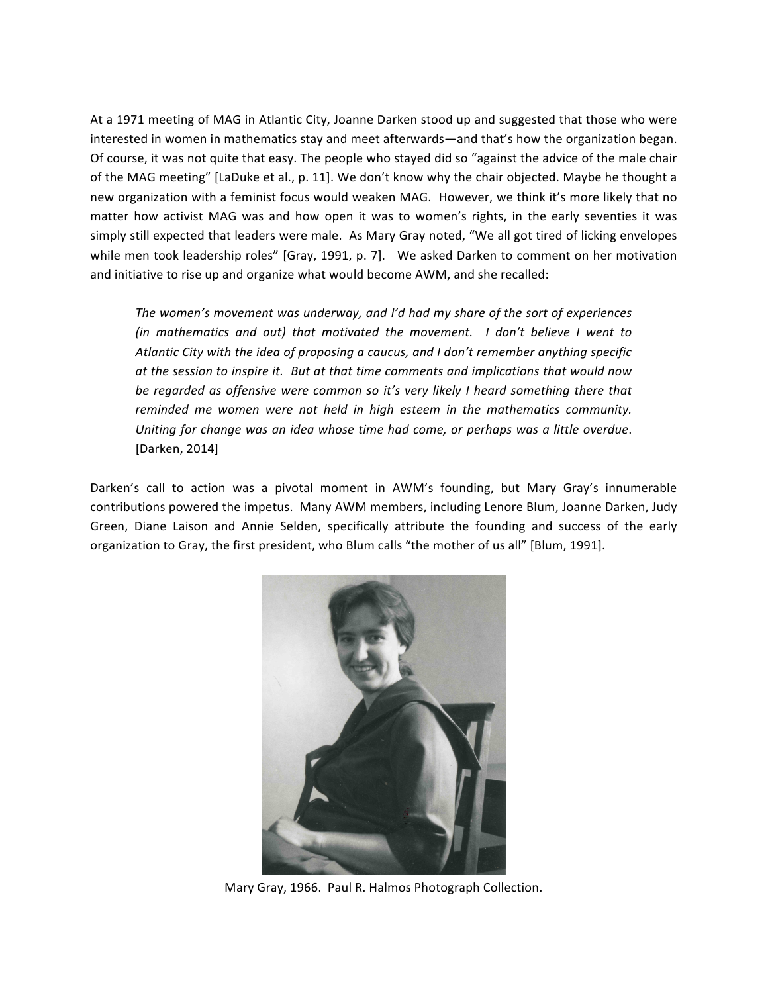At a 1971 meeting of MAG in Atlantic City, Joanne Darken stood up and suggested that those who were interested in women in mathematics stay and meet afterwards—and that's how the organization began. Of course, it was not quite that easy. The people who stayed did so "against the advice of the male chair of the MAG meeting" [LaDuke et al., p. 11]. We don't know why the chair objected. Maybe he thought a new organization with a feminist focus would weaken MAG. However, we think it's more likely that no matter how activist MAG was and how open it was to women's rights, in the early seventies it was simply still expected that leaders were male. As Mary Gray noted, "We all got tired of licking envelopes while men took leadership roles" [Gray, 1991, p. 7]. We asked Darken to comment on her motivation and initiative to rise up and organize what would become AWM, and she recalled:

The women's movement was underway, and I'd had my share of the sort of experiences *(in mathematics and out)* that motivated the movement. I don't believe I went to Atlantic City with the idea of proposing a caucus, and I don't remember anything specific at the session to inspire it. But at that time comments and implications that would now be regarded as offensive were common so it's very likely I heard something there that reminded me women were not held in high esteem in the mathematics community. Uniting for change was an idea whose time had come, or perhaps was a little overdue. [Darken, 2014]

Darken's call to action was a pivotal moment in AWM's founding, but Mary Gray's innumerable contributions powered the impetus. Many AWM members, including Lenore Blum, Joanne Darken, Judy Green, Diane Laison and Annie Selden, specifically attribute the founding and success of the early organization to Gray, the first president, who Blum calls "the mother of us all" [Blum, 1991].



Mary Gray, 1966. Paul R. Halmos Photograph Collection.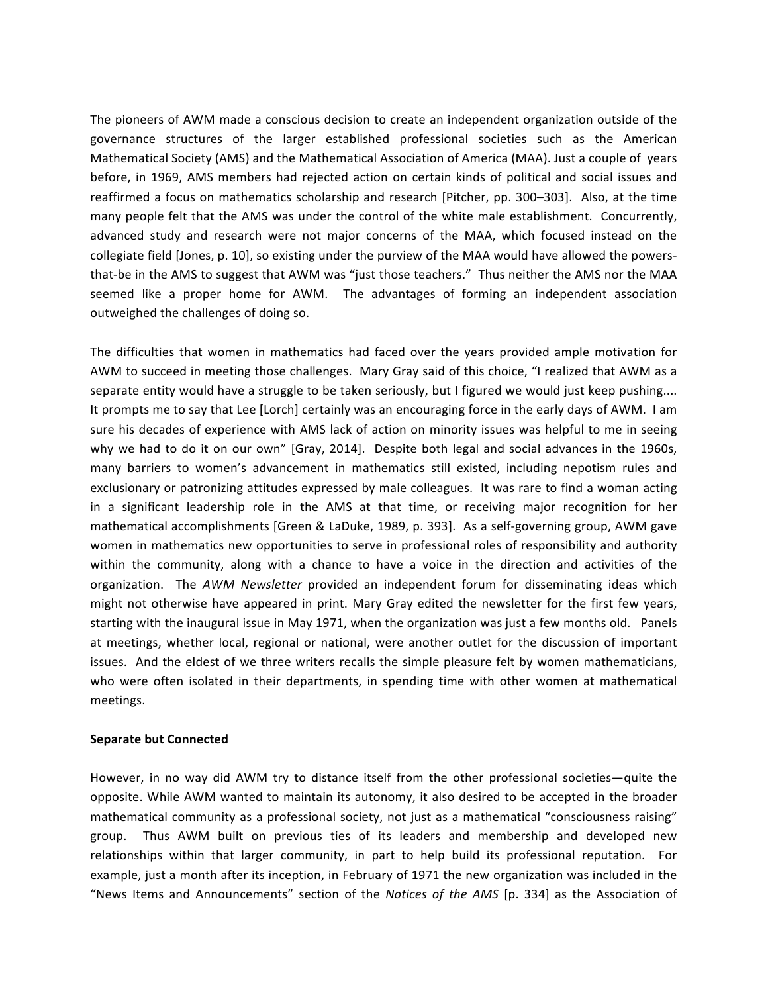The pioneers of AWM made a conscious decision to create an independent organization outside of the governance structures of the larger established professional societies such as the American Mathematical Society (AMS) and the Mathematical Association of America (MAA). Just a couple of years before, in 1969, AMS members had rejected action on certain kinds of political and social issues and reaffirmed a focus on mathematics scholarship and research [Pitcher, pp. 300–303]. Also, at the time many people felt that the AMS was under the control of the white male establishment. Concurrently, advanced study and research were not major concerns of the MAA, which focused instead on the collegiate field [Jones, p. 10], so existing under the purview of the MAA would have allowed the powersthat-be in the AMS to suggest that AWM was "just those teachers." Thus neither the AMS nor the MAA seemed like a proper home for AWM. The advantages of forming an independent association outweighed the challenges of doing so.

The difficulties that women in mathematics had faced over the years provided ample motivation for AWM to succeed in meeting those challenges. Mary Gray said of this choice, "I realized that AWM as a separate entity would have a struggle to be taken seriously, but I figured we would just keep pushing.... It prompts me to say that Lee [Lorch] certainly was an encouraging force in the early days of AWM. I am sure his decades of experience with AMS lack of action on minority issues was helpful to me in seeing why we had to do it on our own" [Gray, 2014]. Despite both legal and social advances in the 1960s, many barriers to women's advancement in mathematics still existed, including nepotism rules and exclusionary or patronizing attitudes expressed by male colleagues. It was rare to find a woman acting in a significant leadership role in the AMS at that time, or receiving major recognition for her mathematical accomplishments [Green & LaDuke, 1989, p. 393]. As a self-governing group, AWM gave women in mathematics new opportunities to serve in professional roles of responsibility and authority within the community, along with a chance to have a voice in the direction and activities of the organization. The *AWM Newsletter* provided an independent forum for disseminating ideas which might not otherwise have appeared in print. Mary Gray edited the newsletter for the first few years, starting with the inaugural issue in May 1971, when the organization was just a few months old. Panels at meetings, whether local, regional or national, were another outlet for the discussion of important issues. And the eldest of we three writers recalls the simple pleasure felt by women mathematicians, who were often isolated in their departments, in spending time with other women at mathematical meetings.

### **Separate but Connected**

However, in no way did AWM try to distance itself from the other professional societies—quite the opposite. While AWM wanted to maintain its autonomy, it also desired to be accepted in the broader mathematical community as a professional society, not just as a mathematical "consciousness raising" group. Thus AWM built on previous ties of its leaders and membership and developed new relationships within that larger community, in part to help build its professional reputation. For example, just a month after its inception, in February of 1971 the new organization was included in the "News Items and Announcements" section of the *Notices of the AMS* [p. 334] as the Association of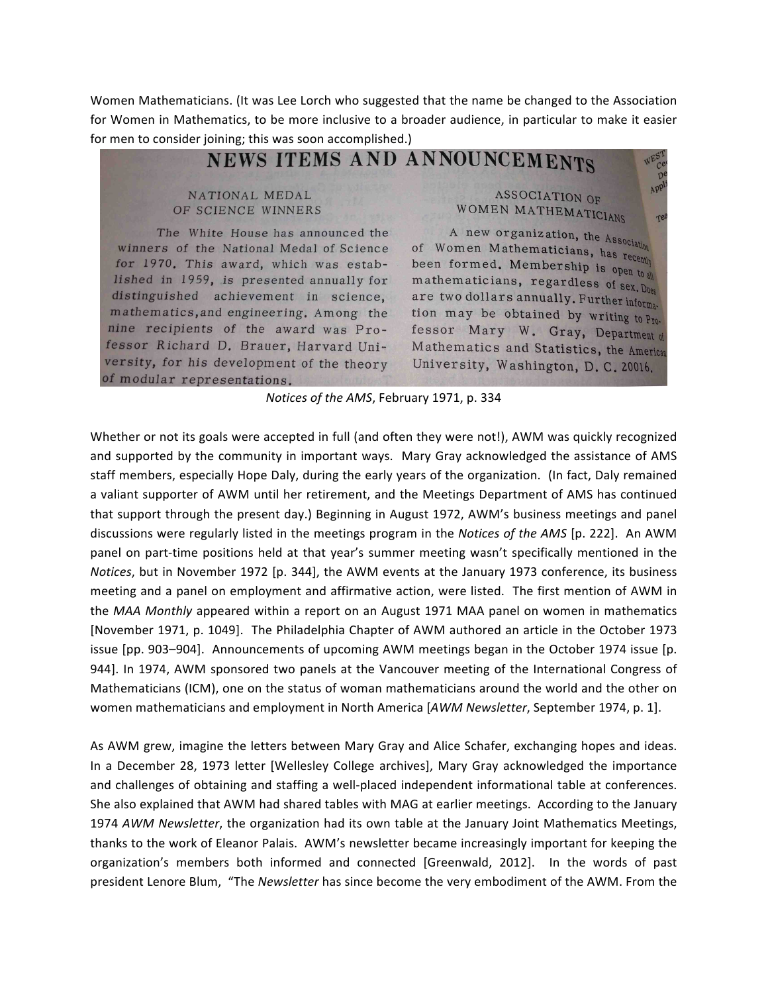Women Mathematicians. (It was Lee Lorch who suggested that the name be changed to the Association for Women in Mathematics, to be more inclusive to a broader audience, in particular to make it easier for men to consider joining; this was soon accomplished.)

NEWS ITEMS AND ANNOUNCEMENTS

# NATIONAL MEDAL OF SCIENCE WINNERS

The White House has announced the winners of the National Medal of Science for 1970. This award, which was established in 1959, is presented annually for distinguished achievement in science, mathematics, and engineering. Among the nine recipients of the award was Professor Richard D. Brauer, Harvard University, for his development of the theory of modular representations.

ASSOCIATION OF WOMEN MATHEMATICIANS

 $\mathcal{D}^{\mathfrak{t}}$ APP

Te

A new organization, the Association of Women Mathematicians, has recently been formed. Membership is open to all mathematicians, regardless of  $sex$ ,  $Dues$ are two dollars annually. Further information may be obtained by writing to  $P_{T_0}$ . fessor Mary W. Gray, Department of Mathematics and Statistics, the American University, Washington, D.C. 20016.

*Notices of the AMS*, February 1971, p. 334

Whether or not its goals were accepted in full (and often they were not!), AWM was quickly recognized and supported by the community in important ways. Mary Gray acknowledged the assistance of AMS staff members, especially Hope Daly, during the early years of the organization. (In fact, Daly remained a valiant supporter of AWM until her retirement, and the Meetings Department of AMS has continued that support through the present day.) Beginning in August 1972, AWM's business meetings and panel discussions were regularly listed in the meetings program in the *Notices of the AMS* [p. 222]. An AWM panel on part-time positions held at that year's summer meeting wasn't specifically mentioned in the *Notices*, but in November 1972 [p. 344], the AWM events at the January 1973 conference, its business meeting and a panel on employment and affirmative action, were listed. The first mention of AWM in the *MAA Monthly* appeared within a report on an August 1971 MAA panel on women in mathematics [November 1971, p. 1049]. The Philadelphia Chapter of AWM authored an article in the October 1973 issue [pp. 903-904]. Announcements of upcoming AWM meetings began in the October 1974 issue [p. 944]. In 1974, AWM sponsored two panels at the Vancouver meeting of the International Congress of Mathematicians (ICM), one on the status of woman mathematicians around the world and the other on women mathematicians and employment in North America [AWM Newsletter, September 1974, p. 1].

As AWM grew, imagine the letters between Mary Gray and Alice Schafer, exchanging hopes and ideas. In a December 28, 1973 letter [Wellesley College archives], Mary Gray acknowledged the importance and challenges of obtaining and staffing a well-placed independent informational table at conferences. She also explained that AWM had shared tables with MAG at earlier meetings. According to the January 1974 *AWM Newsletter*, the organization had its own table at the January Joint Mathematics Meetings, thanks to the work of Eleanor Palais. AWM's newsletter became increasingly important for keeping the organization's members both informed and connected [Greenwald, 2012]. In the words of past president Lenore Blum, "The *Newsletter* has since become the very embodiment of the AWM. From the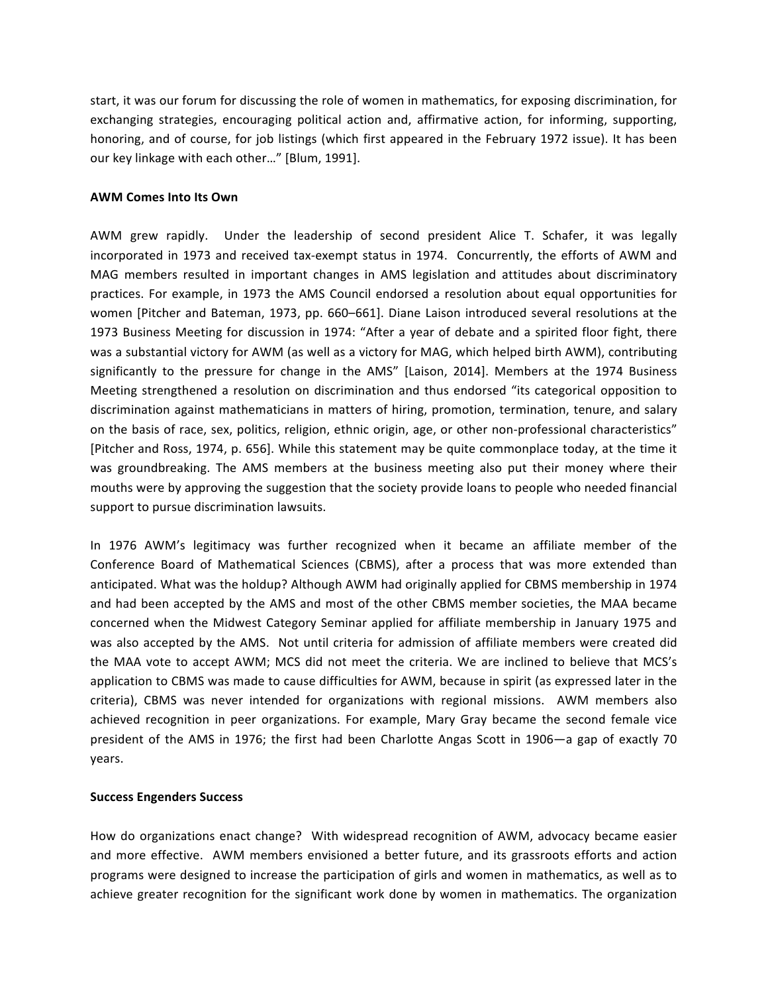start, it was our forum for discussing the role of women in mathematics, for exposing discrimination, for exchanging strategies, encouraging political action and, affirmative action, for informing, supporting, honoring, and of course, for job listings (which first appeared in the February 1972 issue). It has been our key linkage with each other..." [Blum, 1991].

## **AWM Comes Into Its Own**

AWM grew rapidly. Under the leadership of second president Alice T. Schafer, it was legally incorporated in 1973 and received tax-exempt status in 1974. Concurrently, the efforts of AWM and MAG members resulted in important changes in AMS legislation and attitudes about discriminatory practices. For example, in 1973 the AMS Council endorsed a resolution about equal opportunities for women [Pitcher and Bateman, 1973, pp. 660–661]. Diane Laison introduced several resolutions at the 1973 Business Meeting for discussion in 1974: "After a year of debate and a spirited floor fight, there was a substantial victory for AWM (as well as a victory for MAG, which helped birth AWM), contributing significantly to the pressure for change in the AMS" [Laison, 2014]. Members at the 1974 Business Meeting strengthened a resolution on discrimination and thus endorsed "its categorical opposition to discrimination against mathematicians in matters of hiring, promotion, termination, tenure, and salary on the basis of race, sex, politics, religion, ethnic origin, age, or other non-professional characteristics" [Pitcher and Ross, 1974, p. 656]. While this statement may be quite commonplace today, at the time it was groundbreaking. The AMS members at the business meeting also put their money where their mouths were by approving the suggestion that the society provide loans to people who needed financial support to pursue discrimination lawsuits.

In 1976 AWM's legitimacy was further recognized when it became an affiliate member of the Conference Board of Mathematical Sciences (CBMS), after a process that was more extended than anticipated. What was the holdup? Although AWM had originally applied for CBMS membership in 1974 and had been accepted by the AMS and most of the other CBMS member societies, the MAA became concerned when the Midwest Category Seminar applied for affiliate membership in January 1975 and was also accepted by the AMS. Not until criteria for admission of affiliate members were created did the MAA vote to accept AWM; MCS did not meet the criteria. We are inclined to believe that MCS's application to CBMS was made to cause difficulties for AWM, because in spirit (as expressed later in the criteria), CBMS was never intended for organizations with regional missions. AWM members also achieved recognition in peer organizations. For example, Mary Gray became the second female vice president of the AMS in 1976; the first had been Charlotte Angas Scott in 1906—a gap of exactly 70 years.

### **Success Engenders Success**

How do organizations enact change? With widespread recognition of AWM, advocacy became easier and more effective. AWM members envisioned a better future, and its grassroots efforts and action programs were designed to increase the participation of girls and women in mathematics, as well as to achieve greater recognition for the significant work done by women in mathematics. The organization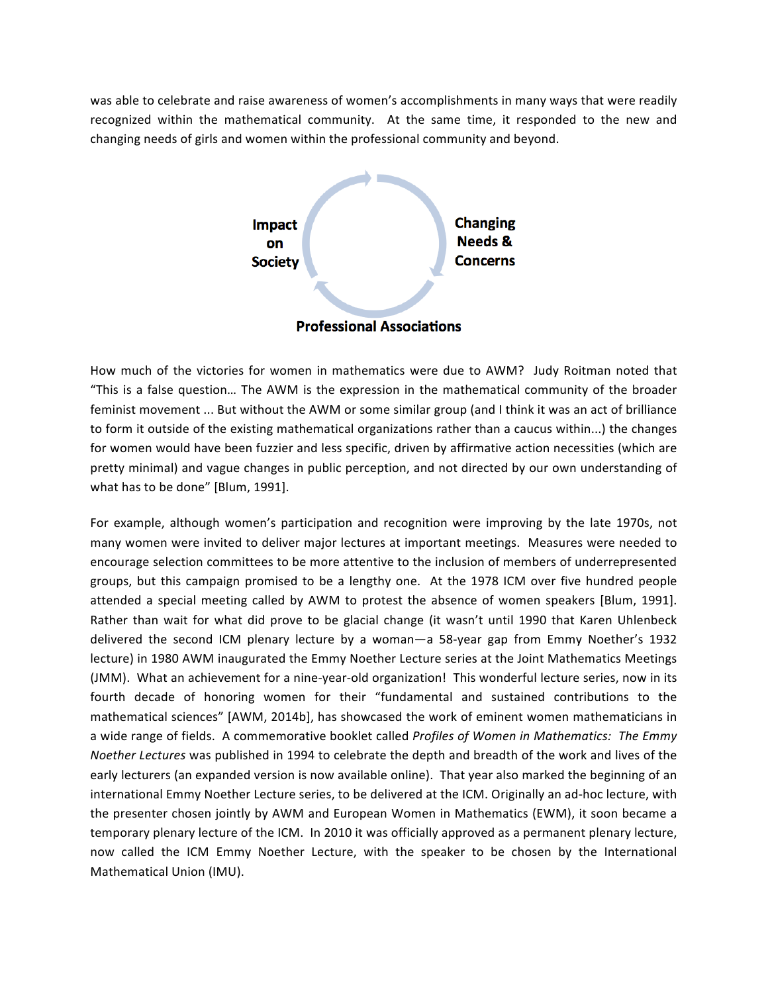was able to celebrate and raise awareness of women's accomplishments in many ways that were readily recognized within the mathematical community. At the same time, it responded to the new and changing needs of girls and women within the professional community and beyond.



How much of the victories for women in mathematics were due to AWM? Judy Roitman noted that "This is a false question... The AWM is the expression in the mathematical community of the broader feminist movement ... But without the AWM or some similar group (and I think it was an act of brilliance to form it outside of the existing mathematical organizations rather than a caucus within...) the changes for women would have been fuzzier and less specific, driven by affirmative action necessities (which are pretty minimal) and vague changes in public perception, and not directed by our own understanding of what has to be done" [Blum, 1991].

For example, although women's participation and recognition were improving by the late 1970s, not many women were invited to deliver major lectures at important meetings. Measures were needed to encourage selection committees to be more attentive to the inclusion of members of underrepresented groups, but this campaign promised to be a lengthy one. At the 1978 ICM over five hundred people attended a special meeting called by AWM to protest the absence of women speakers [Blum, 1991]. Rather than wait for what did prove to be glacial change (it wasn't until 1990 that Karen Uhlenbeck delivered the second ICM plenary lecture by a woman—a 58-year gap from Emmy Noether's 1932 lecture) in 1980 AWM inaugurated the Emmy Noether Lecture series at the Joint Mathematics Meetings (JMM). What an achievement for a nine-year-old organization! This wonderful lecture series, now in its fourth decade of honoring women for their "fundamental and sustained contributions to the mathematical sciences" [AWM, 2014b], has showcased the work of eminent women mathematicians in a wide range of fields. A commemorative booklet called *Profiles of Women in Mathematics:* The Emmy *Noether Lectures* was published in 1994 to celebrate the depth and breadth of the work and lives of the early lecturers (an expanded version is now available online). That year also marked the beginning of an international Emmy Noether Lecture series, to be delivered at the ICM. Originally an ad-hoc lecture, with the presenter chosen jointly by AWM and European Women in Mathematics (EWM), it soon became a temporary plenary lecture of the ICM. In 2010 it was officially approved as a permanent plenary lecture, now called the ICM Emmy Noether Lecture, with the speaker to be chosen by the International Mathematical Union (IMU).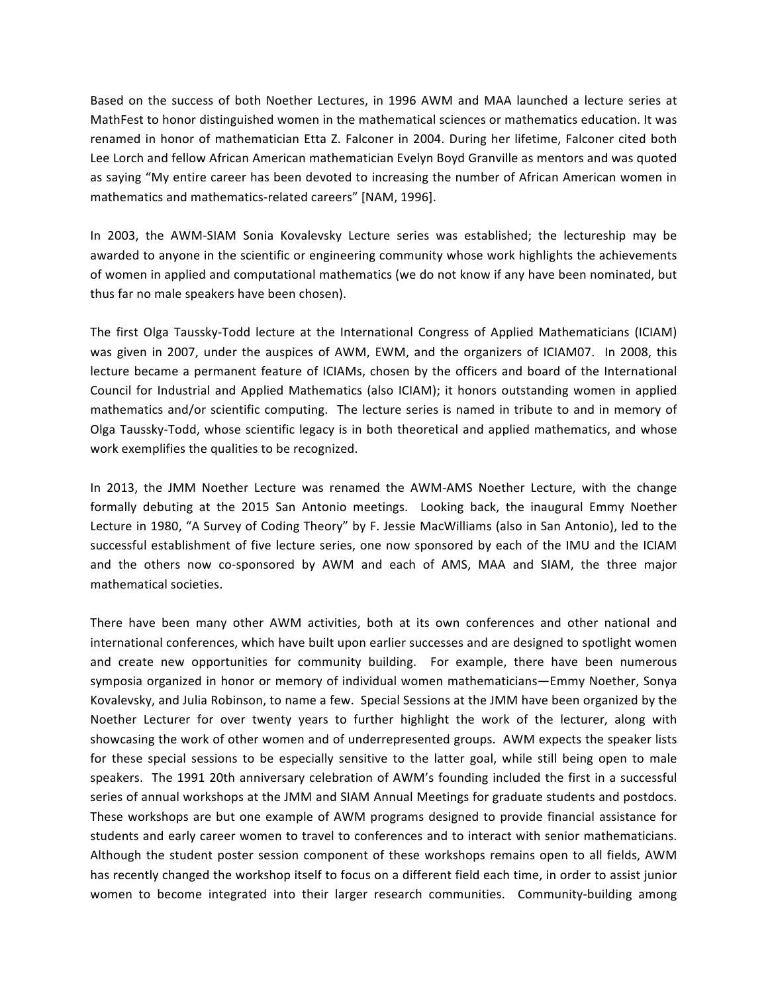Based on the success of both Noether Lectures, in 1996 AWM and MAA launched a lecture series at MathFest to honor distinguished women in the mathematical sciences or mathematics education. It was renamed in honor of mathematician Etta Z. Falconer in 2004. During her lifetime, Falconer cited both Lee Lorch and fellow African American mathematician Evelyn Boyd Granville as mentors and was quoted as saying "My entire career has been devoted to increasing the number of African American women in mathematics and mathematics-related careers" [NAM, 1996].

In 2003, the AWM-SIAM Sonia Kovalevsky Lecture series was established; the lectureship may be awarded to anyone in the scientific or engineering community whose work highlights the achievements of women in applied and computational mathematics (we do not know if any have been nominated, but thus far no male speakers have been chosen).

The first Olga Taussky-Todd lecture at the International Congress of Applied Mathematicians (ICIAM) was given in 2007, under the auspices of AWM, EWM, and the organizers of ICIAM07. In 2008, this lecture became a permanent feature of ICIAMs, chosen by the officers and board of the International Council for Industrial and Applied Mathematics (also ICIAM); it honors outstanding women in applied mathematics and/or scientific computing. The lecture series is named in tribute to and in memory of Olga Taussky-Todd, whose scientific legacy is in both theoretical and applied mathematics, and whose work exemplifies the qualities to be recognized.

In 2013, the JMM Noether Lecture was renamed the AWM-AMS Noether Lecture, with the change formally debuting at the 2015 San Antonio meetings. Looking back, the inaugural Emmy Noether Lecture in 1980, "A Survey of Coding Theory" by F. Jessie MacWilliams (also in San Antonio), led to the successful establishment of five lecture series, one now sponsored by each of the IMU and the ICIAM and the others now co-sponsored by AWM and each of AMS, MAA and SIAM, the three major mathematical societies.

There have been many other AWM activities, both at its own conferences and other national and international conferences, which have built upon earlier successes and are designed to spotlight women and create new opportunities for community building. For example, there have been numerous symposia organized in honor or memory of individual women mathematicians—Emmy Noether, Sonya Kovalevsky, and Julia Robinson, to name a few. Special Sessions at the JMM have been organized by the Noether Lecturer for over twenty years to further highlight the work of the lecturer, along with showcasing the work of other women and of underrepresented groups. AWM expects the speaker lists for these special sessions to be especially sensitive to the latter goal, while still being open to male speakers. The 1991 20th anniversary celebration of AWM's founding included the first in a successful series of annual workshops at the JMM and SIAM Annual Meetings for graduate students and postdocs. These workshops are but one example of AWM programs designed to provide financial assistance for students and early career women to travel to conferences and to interact with senior mathematicians. Although the student poster session component of these workshops remains open to all fields, AWM has recently changed the workshop itself to focus on a different field each time, in order to assist junior women to become integrated into their larger research communities. Community-building among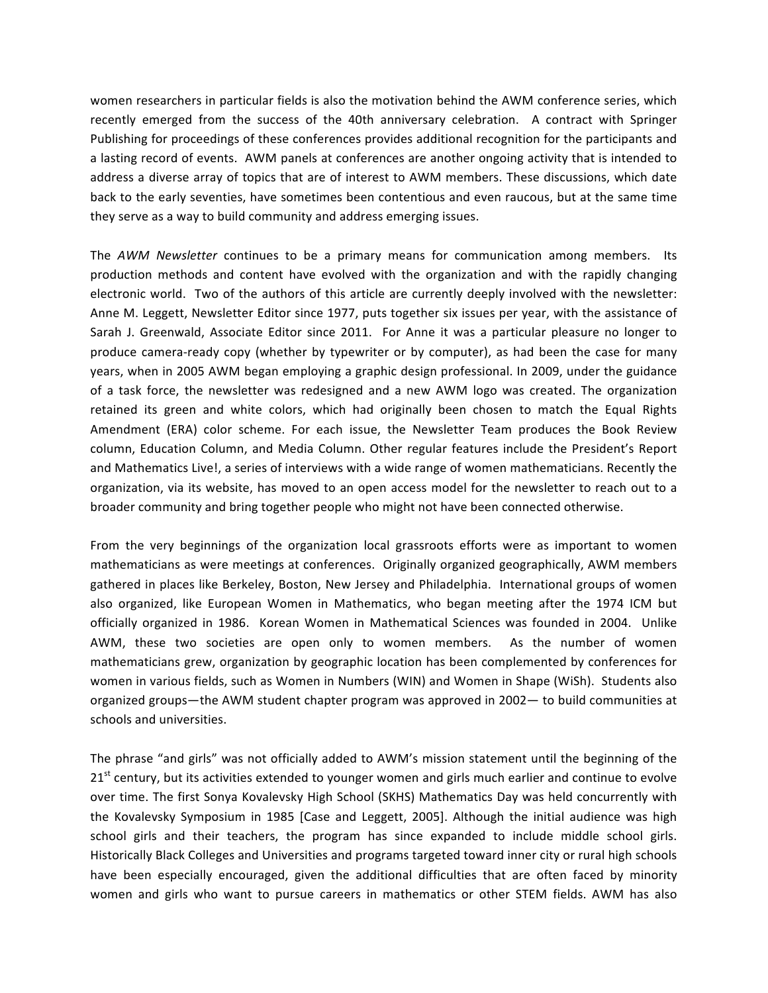women researchers in particular fields is also the motivation behind the AWM conference series, which recently emerged from the success of the 40th anniversary celebration. A contract with Springer Publishing for proceedings of these conferences provides additional recognition for the participants and a lasting record of events. AWM panels at conferences are another ongoing activity that is intended to address a diverse array of topics that are of interest to AWM members. These discussions, which date back to the early seventies, have sometimes been contentious and even raucous, but at the same time they serve as a way to build community and address emerging issues.

The *AWM Newsletter* continues to be a primary means for communication among members. Its production methods and content have evolved with the organization and with the rapidly changing electronic world. Two of the authors of this article are currently deeply involved with the newsletter: Anne M. Leggett, Newsletter Editor since 1977, puts together six issues per year, with the assistance of Sarah J. Greenwald, Associate Editor since 2011. For Anne it was a particular pleasure no longer to produce camera-ready copy (whether by typewriter or by computer), as had been the case for many years, when in 2005 AWM began employing a graphic design professional. In 2009, under the guidance of a task force, the newsletter was redesigned and a new AWM logo was created. The organization retained its green and white colors, which had originally been chosen to match the Equal Rights Amendment (ERA) color scheme. For each issue, the Newsletter Team produces the Book Review column, Education Column, and Media Column. Other regular features include the President's Report and Mathematics Live!, a series of interviews with a wide range of women mathematicians. Recently the organization, via its website, has moved to an open access model for the newsletter to reach out to a broader community and bring together people who might not have been connected otherwise.

From the very beginnings of the organization local grassroots efforts were as important to women mathematicians as were meetings at conferences. Originally organized geographically, AWM members gathered in places like Berkeley, Boston, New Jersey and Philadelphia. International groups of women also organized, like European Women in Mathematics, who began meeting after the 1974 ICM but officially organized in 1986. Korean Women in Mathematical Sciences was founded in 2004. Unlike AWM, these two societies are open only to women members. As the number of women mathematicians grew, organization by geographic location has been complemented by conferences for women in various fields, such as Women in Numbers (WIN) and Women in Shape (WiSh). Students also organized groups—the AWM student chapter program was approved in 2002— to build communities at schools and universities.

The phrase "and girls" was not officially added to AWM's mission statement until the beginning of the 21<sup>st</sup> century, but its activities extended to younger women and girls much earlier and continue to evolve over time. The first Sonya Kovalevsky High School (SKHS) Mathematics Day was held concurrently with the Kovalevsky Symposium in 1985 [Case and Leggett, 2005]. Although the initial audience was high school girls and their teachers, the program has since expanded to include middle school girls. Historically Black Colleges and Universities and programs targeted toward inner city or rural high schools have been especially encouraged, given the additional difficulties that are often faced by minority women and girls who want to pursue careers in mathematics or other STEM fields. AWM has also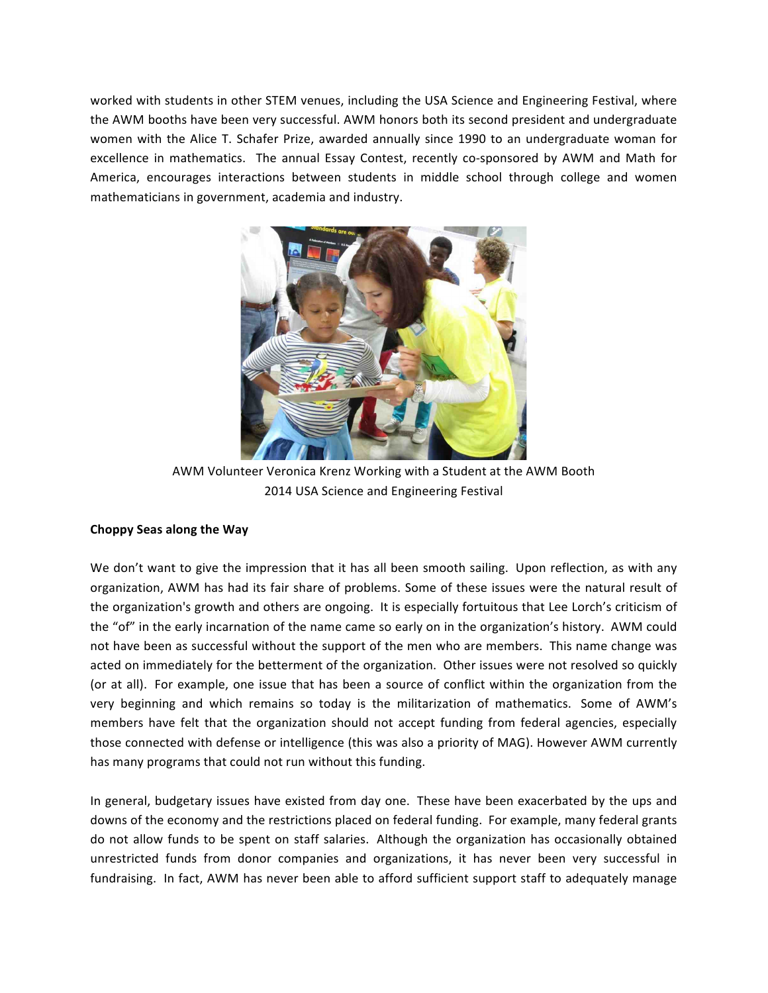worked with students in other STEM venues, including the USA Science and Engineering Festival, where the AWM booths have been very successful. AWM honors both its second president and undergraduate women with the Alice T. Schafer Prize, awarded annually since 1990 to an undergraduate woman for excellence in mathematics. The annual Essay Contest, recently co-sponsored by AWM and Math for America, encourages interactions between students in middle school through college and women mathematicians in government, academia and industry.



AWM Volunteer Veronica Krenz Working with a Student at the AWM Booth 2014 USA Science and Engineering Festival

## **Choppy Seas along the Way**

We don't want to give the impression that it has all been smooth sailing. Upon reflection, as with any organization, AWM has had its fair share of problems. Some of these issues were the natural result of the organization's growth and others are ongoing. It is especially fortuitous that Lee Lorch's criticism of the "of" in the early incarnation of the name came so early on in the organization's history. AWM could not have been as successful without the support of the men who are members. This name change was acted on immediately for the betterment of the organization. Other issues were not resolved so quickly (or at all). For example, one issue that has been a source of conflict within the organization from the very beginning and which remains so today is the militarization of mathematics. Some of AWM's members have felt that the organization should not accept funding from federal agencies, especially those connected with defense or intelligence (this was also a priority of MAG). However AWM currently has many programs that could not run without this funding.

In general, budgetary issues have existed from day one. These have been exacerbated by the ups and downs of the economy and the restrictions placed on federal funding. For example, many federal grants do not allow funds to be spent on staff salaries. Although the organization has occasionally obtained unrestricted funds from donor companies and organizations, it has never been very successful in fundraising. In fact, AWM has never been able to afford sufficient support staff to adequately manage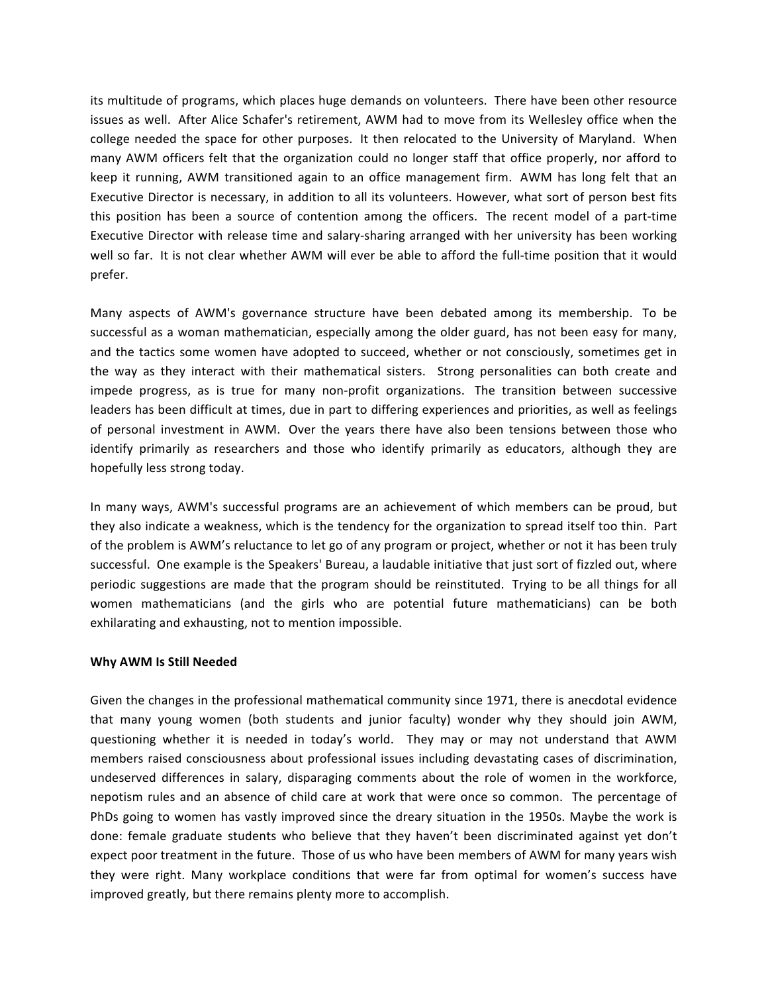its multitude of programs, which places huge demands on volunteers. There have been other resource issues as well. After Alice Schafer's retirement, AWM had to move from its Wellesley office when the college needed the space for other purposes. It then relocated to the University of Maryland. When many AWM officers felt that the organization could no longer staff that office properly, nor afford to keep it running, AWM transitioned again to an office management firm. AWM has long felt that an Executive Director is necessary, in addition to all its volunteers. However, what sort of person best fits this position has been a source of contention among the officers. The recent model of a part-time Executive Director with release time and salary-sharing arranged with her university has been working well so far. It is not clear whether AWM will ever be able to afford the full-time position that it would prefer.

Many aspects of AWM's governance structure have been debated among its membership. To be successful as a woman mathematician, especially among the older guard, has not been easy for many, and the tactics some women have adopted to succeed, whether or not consciously, sometimes get in the way as they interact with their mathematical sisters. Strong personalities can both create and impede progress, as is true for many non-profit organizations. The transition between successive leaders has been difficult at times, due in part to differing experiences and priorities, as well as feelings of personal investment in AWM. Over the years there have also been tensions between those who identify primarily as researchers and those who identify primarily as educators, although they are hopefully less strong today.

In many ways, AWM's successful programs are an achievement of which members can be proud, but they also indicate a weakness, which is the tendency for the organization to spread itself too thin. Part of the problem is AWM's reluctance to let go of any program or project, whether or not it has been truly successful. One example is the Speakers' Bureau, a laudable initiative that just sort of fizzled out, where periodic suggestions are made that the program should be reinstituted. Trying to be all things for all women mathematicians (and the girls who are potential future mathematicians) can be both exhilarating and exhausting, not to mention impossible.

### Why AWM Is Still Needed

Given the changes in the professional mathematical community since 1971, there is anecdotal evidence that many young women (both students and junior faculty) wonder why they should join AWM, questioning whether it is needed in today's world. They may or may not understand that AWM members raised consciousness about professional issues including devastating cases of discrimination, undeserved differences in salary, disparaging comments about the role of women in the workforce, nepotism rules and an absence of child care at work that were once so common. The percentage of PhDs going to women has vastly improved since the dreary situation in the 1950s. Maybe the work is done: female graduate students who believe that they haven't been discriminated against yet don't expect poor treatment in the future. Those of us who have been members of AWM for many years wish they were right. Many workplace conditions that were far from optimal for women's success have improved greatly, but there remains plenty more to accomplish.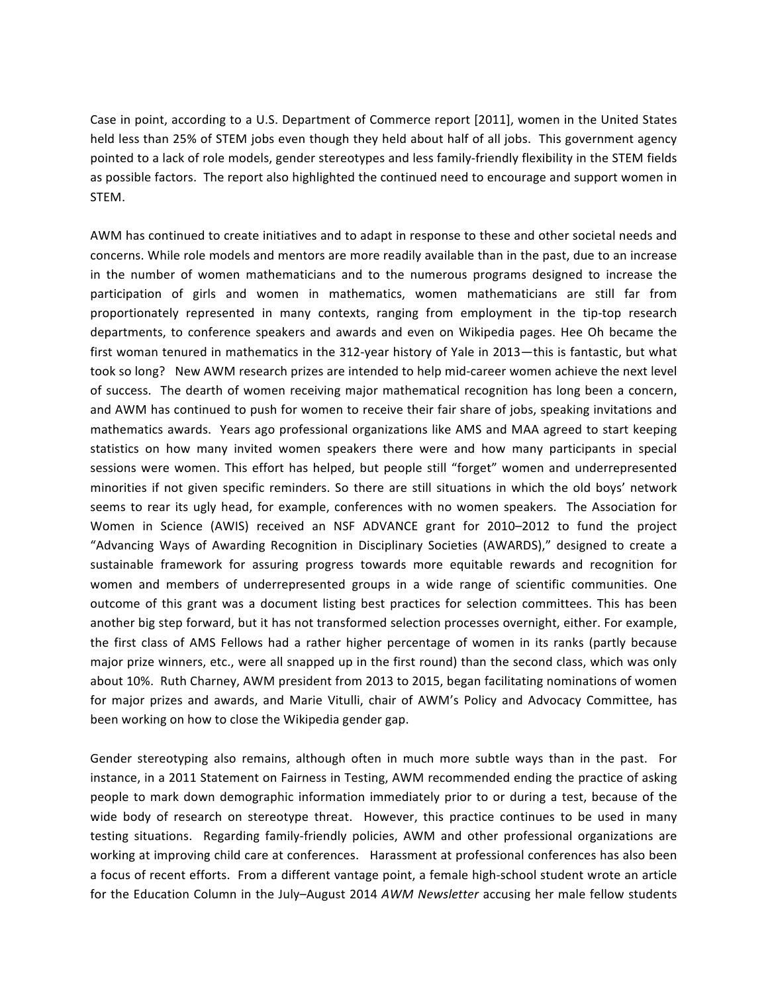Case in point, according to a U.S. Department of Commerce report [2011], women in the United States held less than 25% of STEM jobs even though they held about half of all jobs. This government agency pointed to a lack of role models, gender stereotypes and less family-friendly flexibility in the STEM fields as possible factors. The report also highlighted the continued need to encourage and support women in STEM.

AWM has continued to create initiatives and to adapt in response to these and other societal needs and concerns. While role models and mentors are more readily available than in the past, due to an increase in the number of women mathematicians and to the numerous programs designed to increase the participation of girls and women in mathematics, women mathematicians are still far from proportionately represented in many contexts, ranging from employment in the tip-top research departments, to conference speakers and awards and even on Wikipedia pages. Hee Oh became the first woman tenured in mathematics in the 312-year history of Yale in 2013—this is fantastic, but what took so long? New AWM research prizes are intended to help mid-career women achieve the next level of success. The dearth of women receiving major mathematical recognition has long been a concern, and AWM has continued to push for women to receive their fair share of jobs, speaking invitations and mathematics awards. Years ago professional organizations like AMS and MAA agreed to start keeping statistics on how many invited women speakers there were and how many participants in special sessions were women. This effort has helped, but people still "forget" women and underrepresented minorities if not given specific reminders. So there are still situations in which the old boys' network seems to rear its ugly head, for example, conferences with no women speakers. The Association for Women in Science (AWIS) received an NSF ADVANCE grant for 2010–2012 to fund the project "Advancing Ways of Awarding Recognition in Disciplinary Societies (AWARDS)," designed to create a sustainable framework for assuring progress towards more equitable rewards and recognition for women and members of underrepresented groups in a wide range of scientific communities. One outcome of this grant was a document listing best practices for selection committees. This has been another big step forward, but it has not transformed selection processes overnight, either. For example, the first class of AMS Fellows had a rather higher percentage of women in its ranks (partly because major prize winners, etc., were all snapped up in the first round) than the second class, which was only about 10%. Ruth Charney, AWM president from 2013 to 2015, began facilitating nominations of women for major prizes and awards, and Marie Vitulli, chair of AWM's Policy and Advocacy Committee, has been working on how to close the Wikipedia gender gap.

Gender stereotyping also remains, although often in much more subtle ways than in the past. For instance, in a 2011 Statement on Fairness in Testing, AWM recommended ending the practice of asking people to mark down demographic information immediately prior to or during a test, because of the wide body of research on stereotype threat. However, this practice continues to be used in many testing situations. Regarding family-friendly policies, AWM and other professional organizations are working at improving child care at conferences. Harassment at professional conferences has also been a focus of recent efforts. From a different vantage point, a female high-school student wrote an article for the Education Column in the July–August 2014 *AWM Newsletter* accusing her male fellow students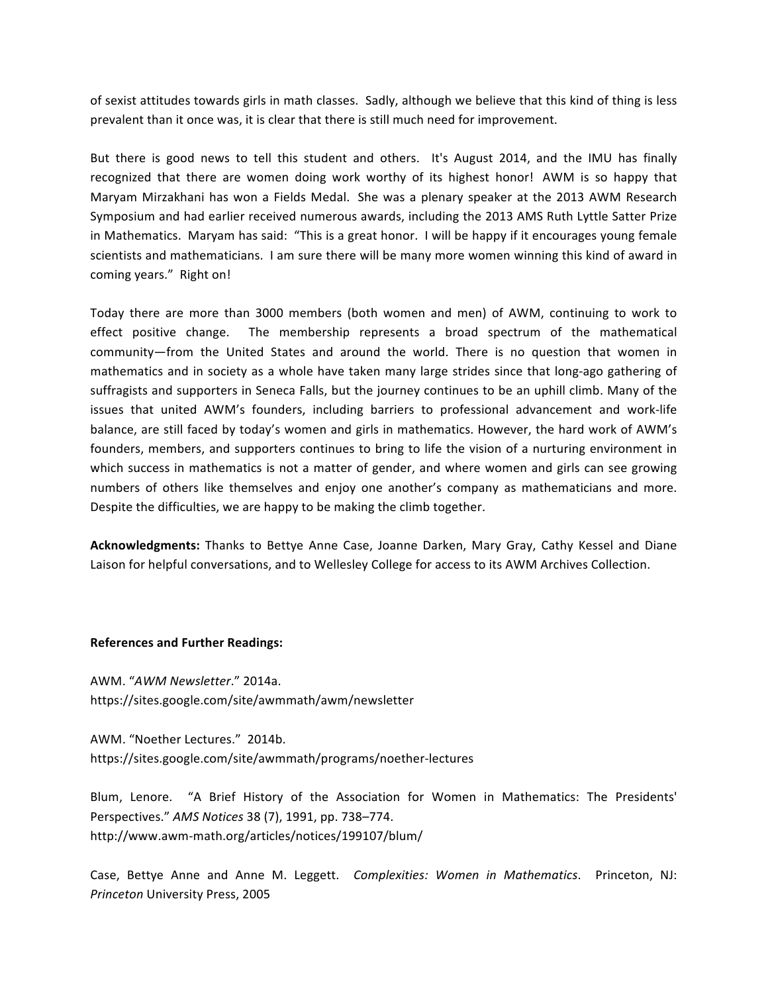of sexist attitudes towards girls in math classes. Sadly, although we believe that this kind of thing is less prevalent than it once was, it is clear that there is still much need for improvement.

But there is good news to tell this student and others. It's August 2014, and the IMU has finally recognized that there are women doing work worthy of its highest honor! AWM is so happy that Maryam Mirzakhani has won a Fields Medal. She was a plenary speaker at the 2013 AWM Research Symposium and had earlier received numerous awards, including the 2013 AMS Ruth Lyttle Satter Prize in Mathematics. Maryam has said: "This is a great honor. I will be happy if it encourages young female scientists and mathematicians. I am sure there will be many more women winning this kind of award in coming years." Right on!

Today there are more than 3000 members (both women and men) of AWM, continuing to work to effect positive change. The membership represents a broad spectrum of the mathematical community—from the United States and around the world. There is no question that women in mathematics and in society as a whole have taken many large strides since that long-ago gathering of suffragists and supporters in Seneca Falls, but the journey continues to be an uphill climb. Many of the issues that united AWM's founders, including barriers to professional advancement and work-life balance, are still faced by today's women and girls in mathematics. However, the hard work of AWM's founders, members, and supporters continues to bring to life the vision of a nurturing environment in which success in mathematics is not a matter of gender, and where women and girls can see growing numbers of others like themselves and enjoy one another's company as mathematicians and more. Despite the difficulties, we are happy to be making the climb together.

**Acknowledgments:** Thanks to Bettye Anne Case, Joanne Darken, Mary Gray, Cathy Kessel and Diane Laison for helpful conversations, and to Wellesley College for access to its AWM Archives Collection.

#### **References and Further Readings:**

AWM. "*AWM Newsletter*." 2014a. https://sites.google.com/site/awmmath/awm/newsletter

AWM. "Noether Lectures." 2014b. https://sites.google.com/site/awmmath/programs/noether-lectures

Blum, Lenore. "A Brief History of the Association for Women in Mathematics: The Presidents' Perspectives." *AMS Notices* 38 (7), 1991, pp. 738–774. http://www.awm-math.org/articles/notices/199107/blum/ 

Case, Bettye Anne and Anne M. Leggett. *Complexities: Women in Mathematics*. Princeton, NJ: *Princeton* University Press, 2005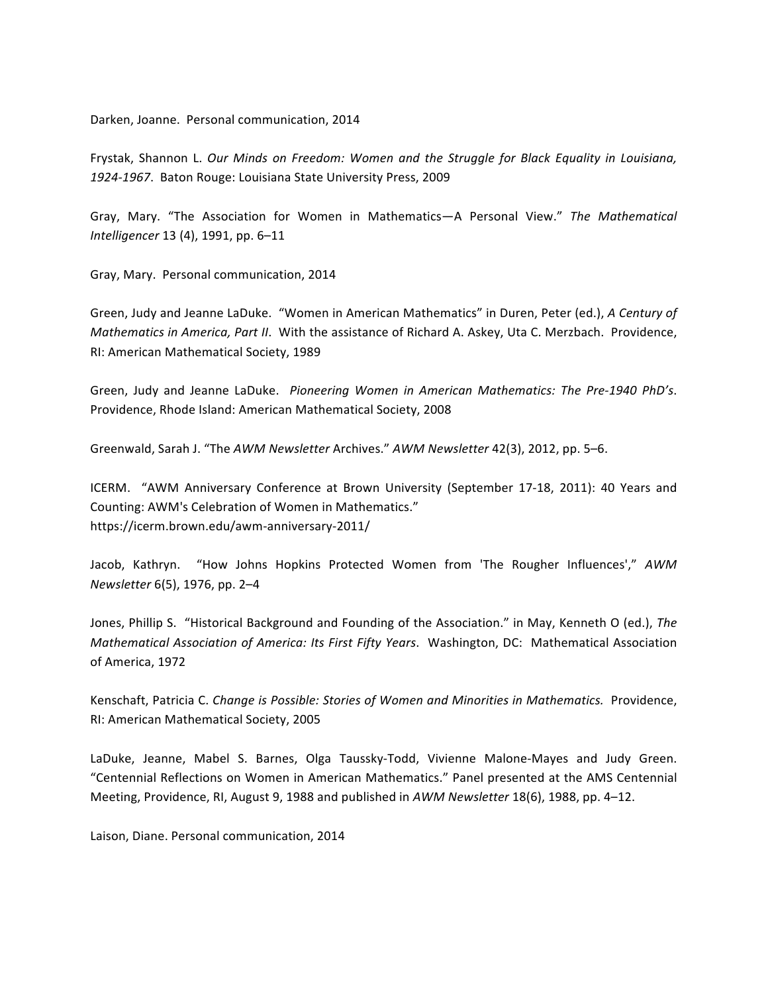Darken, Joanne. Personal communication, 2014

Frystak, Shannon L. Our Minds on Freedom: Women and the Struggle for Black Equality in Louisiana, 1924-1967. Baton Rouge: Louisiana State University Press, 2009

Gray, Mary. "The Association for Women in Mathematics—A Personal View." The Mathematical *Intelligencer* 13 (4), 1991, pp. 6-11

Gray, Mary. Personal communication, 2014

Green, Judy and Jeanne LaDuke. "Women in American Mathematics" in Duren, Peter (ed.), *A Century of Mathematics in America, Part II.* With the assistance of Richard A. Askey, Uta C. Merzbach. Providence, RI: American Mathematical Society, 1989

Green, Judy and Jeanne LaDuke. Pioneering Women in American Mathematics: The Pre-1940 PhD's. Providence, Rhode Island: American Mathematical Society, 2008

Greenwald, Sarah J. "The AWM Newsletter Archives." AWM Newsletter 42(3), 2012, pp. 5-6.

ICERM. "AWM Anniversary Conference at Brown University (September 17-18, 2011): 40 Years and Counting: AWM's Celebration of Women in Mathematics." https://icerm.brown.edu/awm-anniversary-2011/

Jacob, Kathryn. "How Johns Hopkins Protected Women from 'The Rougher Influences'," AWM *Newsletter* 6(5), 1976, pp. 2–4

Jones, Phillip S. "Historical Background and Founding of the Association." in May, Kenneth O (ed.), The *Mathematical Association of America: Its First Fifty Years.* Washington, DC: Mathematical Association of America, 1972

Kenschaft, Patricia C. Change is Possible: Stories of Women and Minorities in Mathematics. Providence, RI: American Mathematical Society, 2005

LaDuke, Jeanne, Mabel S. Barnes, Olga Taussky-Todd, Vivienne Malone-Mayes and Judy Green. "Centennial Reflections on Women in American Mathematics." Panel presented at the AMS Centennial Meeting, Providence, RI, August 9, 1988 and published in *AWM Newsletter* 18(6), 1988, pp. 4–12.

Laison, Diane. Personal communication, 2014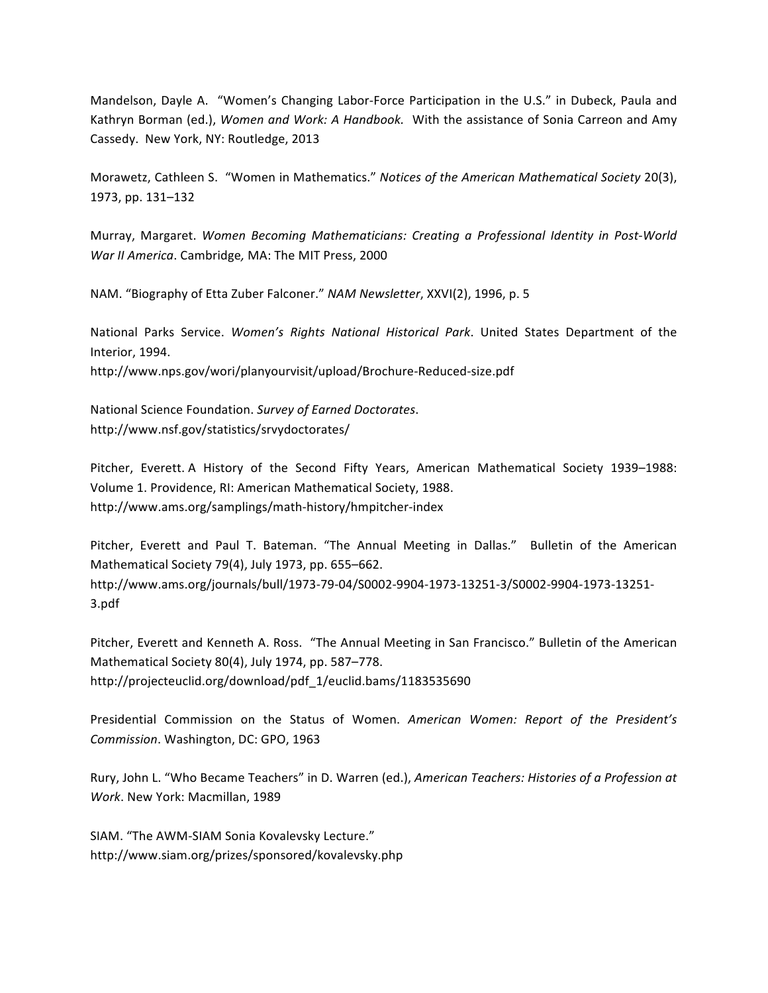Mandelson, Dayle A. "Women's Changing Labor-Force Participation in the U.S." in Dubeck, Paula and Kathryn Borman (ed.), Women and Work: A Handbook. With the assistance of Sonia Carreon and Amy Cassedy. New York, NY: Routledge, 2013

Morawetz, Cathleen S. "Women in Mathematics." *Notices of the American Mathematical Society* 20(3), 1973, pp. 131-132

Murray, Margaret. *Women Becoming Mathematicians: Creating a Professional Identity in Post-World War II America*. Cambridge, MA: The MIT Press, 2000

NAM. "Biography of Etta Zuber Falconer." NAM Newsletter, XXVI(2), 1996, p. 5

National Parks Service. Women's Rights National Historical Park. United States Department of the Interior, 1994. http://www.nps.gov/wori/planyourvisit/upload/Brochure-Reduced-size.pdf

National Science Foundation. *Survey of Earned Doctorates*. http://www.nsf.gov/statistics/srvydoctorates/

Pitcher, Everett. A History of the Second Fifty Years, American Mathematical Society 1939–1988: Volume 1. Providence, RI: American Mathematical Society, 1988. http://www.ams.org/samplings/math-history/hmpitcher-index

Pitcher, Everett and Paul T. Bateman. "The Annual Meeting in Dallas." Bulletin of the American Mathematical Society 79(4), July 1973, pp. 655-662. http://www.ams.org/journals/bull/1973-79-04/S0002-9904-1973-13251-3/S0002-9904-1973-13251- 3.pdf

Pitcher, Everett and Kenneth A. Ross. "The Annual Meeting in San Francisco." Bulletin of the American Mathematical Society 80(4), July 1974, pp. 587-778. http://projecteuclid.org/download/pdf\_1/euclid.bams/1183535690

Presidential Commission on the Status of Women. American Women: Report of the President's *Commission*. Washington, DC: GPO, 1963

Rury, John L. "Who Became Teachers" in D. Warren (ed.), *American Teachers: Histories of a Profession at Work*. New York: Macmillan, 1989

SIAM. "The AWM-SIAM Sonia Kovalevsky Lecture." http://www.siam.org/prizes/sponsored/kovalevsky.php